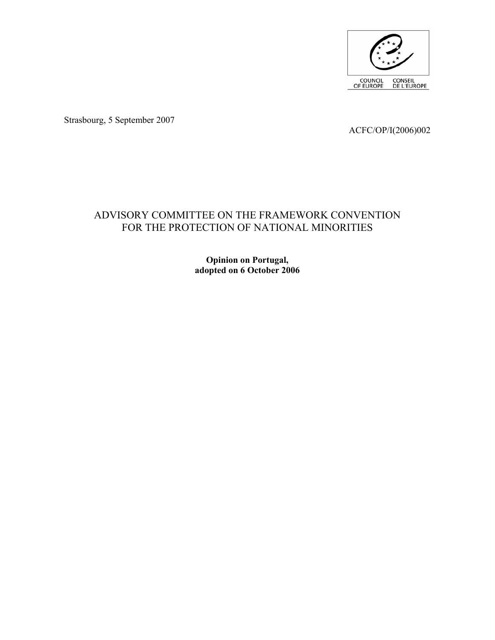

Strasbourg, 5 September 2007

ACFC/OP/I(2006)002

# ADVISORY COMMITTEE ON THE FRAMEWORK CONVENTION FOR THE PROTECTION OF NATIONAL MINORITIES

**Opinion on Portugal, adopted on 6 October 2006**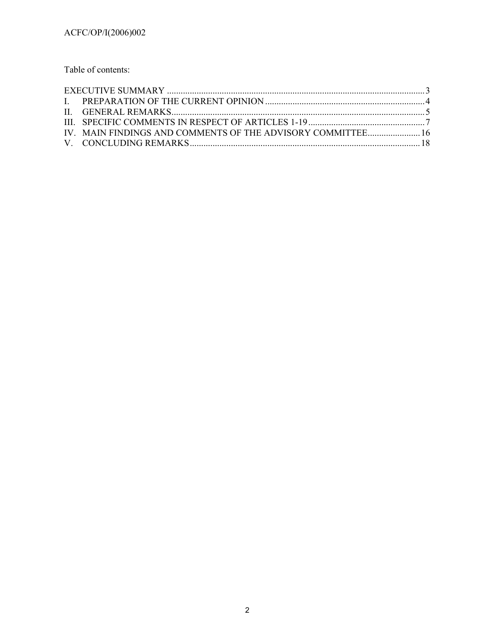Table of contents:

| IV. MAIN FINDINGS AND COMMENTS OF THE ADVISORY COMMITTEE 16 |  |
|-------------------------------------------------------------|--|
|                                                             |  |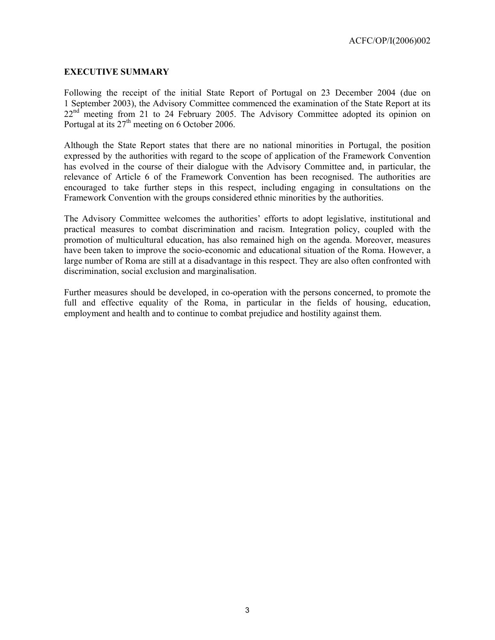### **EXECUTIVE SUMMARY**

Following the receipt of the initial State Report of Portugal on 23 December 2004 (due on 1 September 2003), the Advisory Committee commenced the examination of the State Report at its 22<sup>nd</sup> meeting from 21 to 24 February 2005. The Advisory Committee adopted its opinion on Portugal at its  $27<sup>th</sup>$  meeting on 6 October 2006.

Although the State Report states that there are no national minorities in Portugal, the position expressed by the authorities with regard to the scope of application of the Framework Convention has evolved in the course of their dialogue with the Advisory Committee and, in particular, the relevance of Article 6 of the Framework Convention has been recognised. The authorities are encouraged to take further steps in this respect, including engaging in consultations on the Framework Convention with the groups considered ethnic minorities by the authorities.

The Advisory Committee welcomes the authorities' efforts to adopt legislative, institutional and practical measures to combat discrimination and racism. Integration policy, coupled with the promotion of multicultural education, has also remained high on the agenda. Moreover, measures have been taken to improve the socio-economic and educational situation of the Roma. However, a large number of Roma are still at a disadvantage in this respect. They are also often confronted with discrimination, social exclusion and marginalisation.

Further measures should be developed, in co-operation with the persons concerned, to promote the full and effective equality of the Roma, in particular in the fields of housing, education, employment and health and to continue to combat prejudice and hostility against them.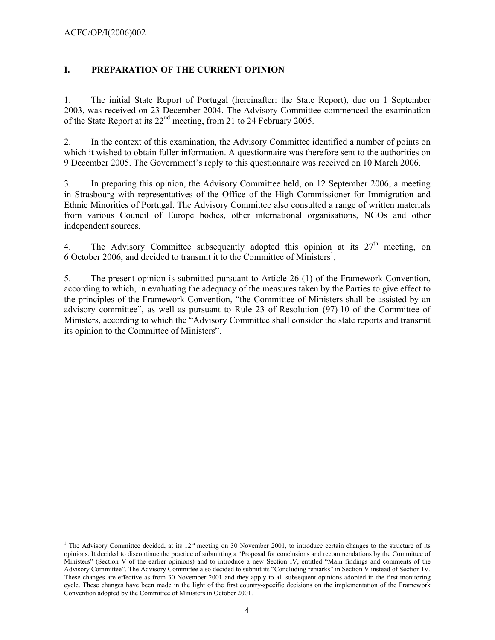# **I. PREPARATION OF THE CURRENT OPINION**

1. The initial State Report of Portugal (hereinafter: the State Report), due on 1 September 2003, was received on 23 December 2004. The Advisory Committee commenced the examination of the State Report at its 22nd meeting, from 21 to 24 February 2005.

2. In the context of this examination, the Advisory Committee identified a number of points on which it wished to obtain fuller information. A questionnaire was therefore sent to the authorities on 9 December 2005. The Government's reply to this questionnaire was received on 10 March 2006.

3. In preparing this opinion, the Advisory Committee held, on 12 September 2006, a meeting in Strasbourg with representatives of the Office of the High Commissioner for Immigration and Ethnic Minorities of Portugal. The Advisory Committee also consulted a range of written materials from various Council of Europe bodies, other international organisations, NGOs and other independent sources.

4. The Advisory Committee subsequently adopted this opinion at its  $27<sup>th</sup>$  meeting, on 6 October 2006, and decided to transmit it to the Committee of Ministers<sup>1</sup>.

5. The present opinion is submitted pursuant to Article 26 (1) of the Framework Convention, according to which, in evaluating the adequacy of the measures taken by the Parties to give effect to the principles of the Framework Convention, "the Committee of Ministers shall be assisted by an advisory committee", as well as pursuant to Rule 23 of Resolution (97) 10 of the Committee of Ministers, according to which the "Advisory Committee shall consider the state reports and transmit its opinion to the Committee of Ministers".

<sup>&</sup>lt;sup>1</sup> The Advisory Committee decided, at its 12<sup>th</sup> meeting on 30 November 2001, to introduce certain changes to the structure of its opinions. It decided to discontinue the practice of submitting a "Proposal for conclusions and recommendations by the Committee of Ministers" (Section V of the earlier opinions) and to introduce a new Section IV, entitled "Main findings and comments of the Advisory Committee". The Advisory Committee also decided to submit its "Concluding remarks" in Section V instead of Section IV. These changes are effective as from 30 November 2001 and they apply to all subsequent opinions adopted in the first monitoring cycle. These changes have been made in the light of the first country-specific decisions on the implementation of the Framework Convention adopted by the Committee of Ministers in October 2001.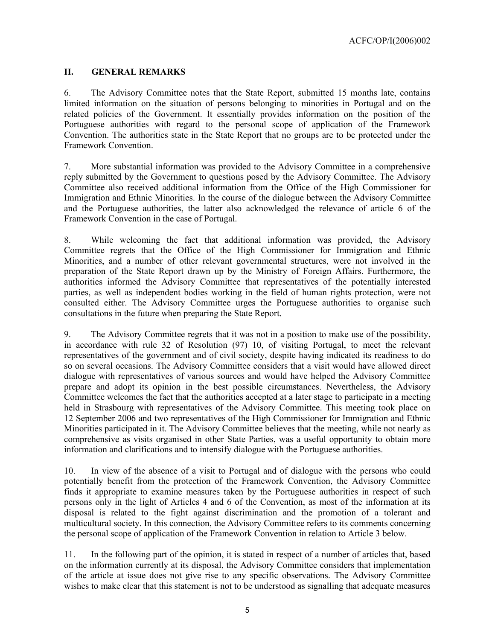### **II. GENERAL REMARKS**

6. The Advisory Committee notes that the State Report, submitted 15 months late, contains limited information on the situation of persons belonging to minorities in Portugal and on the related policies of the Government. It essentially provides information on the position of the Portuguese authorities with regard to the personal scope of application of the Framework Convention. The authorities state in the State Report that no groups are to be protected under the Framework Convention.

7. More substantial information was provided to the Advisory Committee in a comprehensive reply submitted by the Government to questions posed by the Advisory Committee. The Advisory Committee also received additional information from the Office of the High Commissioner for Immigration and Ethnic Minorities. In the course of the dialogue between the Advisory Committee and the Portuguese authorities, the latter also acknowledged the relevance of article 6 of the Framework Convention in the case of Portugal.

8. While welcoming the fact that additional information was provided, the Advisory Committee regrets that the Office of the High Commissioner for Immigration and Ethnic Minorities, and a number of other relevant governmental structures, were not involved in the preparation of the State Report drawn up by the Ministry of Foreign Affairs. Furthermore, the authorities informed the Advisory Committee that representatives of the potentially interested parties, as well as independent bodies working in the field of human rights protection, were not consulted either. The Advisory Committee urges the Portuguese authorities to organise such consultations in the future when preparing the State Report.

9. The Advisory Committee regrets that it was not in a position to make use of the possibility, in accordance with rule 32 of Resolution (97) 10, of visiting Portugal, to meet the relevant representatives of the government and of civil society, despite having indicated its readiness to do so on several occasions. The Advisory Committee considers that a visit would have allowed direct dialogue with representatives of various sources and would have helped the Advisory Committee prepare and adopt its opinion in the best possible circumstances. Nevertheless, the Advisory Committee welcomes the fact that the authorities accepted at a later stage to participate in a meeting held in Strasbourg with representatives of the Advisory Committee. This meeting took place on 12 September 2006 and two representatives of the High Commissioner for Immigration and Ethnic Minorities participated in it. The Advisory Committee believes that the meeting, while not nearly as comprehensive as visits organised in other State Parties, was a useful opportunity to obtain more information and clarifications and to intensify dialogue with the Portuguese authorities.

10. In view of the absence of a visit to Portugal and of dialogue with the persons who could potentially benefit from the protection of the Framework Convention, the Advisory Committee finds it appropriate to examine measures taken by the Portuguese authorities in respect of such persons only in the light of Articles 4 and 6 of the Convention, as most of the information at its disposal is related to the fight against discrimination and the promotion of a tolerant and multicultural society. In this connection, the Advisory Committee refers to its comments concerning the personal scope of application of the Framework Convention in relation to Article 3 below.

11. In the following part of the opinion, it is stated in respect of a number of articles that, based on the information currently at its disposal, the Advisory Committee considers that implementation of the article at issue does not give rise to any specific observations. The Advisory Committee wishes to make clear that this statement is not to be understood as signalling that adequate measures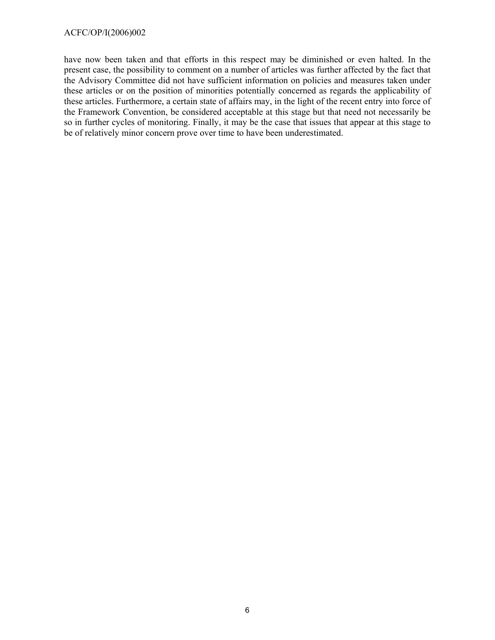have now been taken and that efforts in this respect may be diminished or even halted. In the present case, the possibility to comment on a number of articles was further affected by the fact that the Advisory Committee did not have sufficient information on policies and measures taken under these articles or on the position of minorities potentially concerned as regards the applicability of these articles. Furthermore, a certain state of affairs may, in the light of the recent entry into force of the Framework Convention, be considered acceptable at this stage but that need not necessarily be so in further cycles of monitoring. Finally, it may be the case that issues that appear at this stage to be of relatively minor concern prove over time to have been underestimated.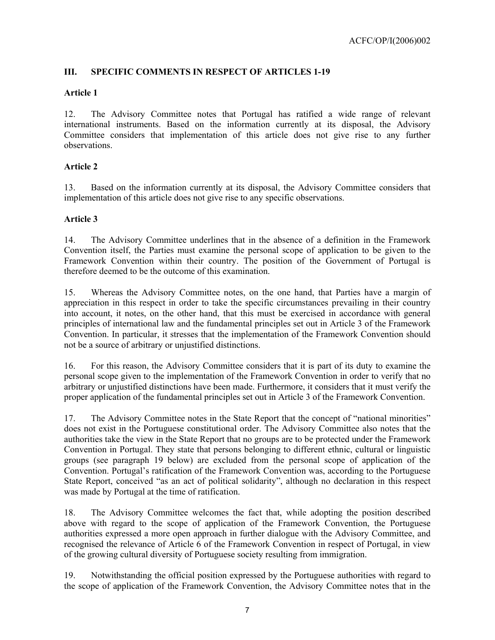# **III. SPECIFIC COMMENTS IN RESPECT OF ARTICLES 1-19**

# **Article 1**

12. The Advisory Committee notes that Portugal has ratified a wide range of relevant international instruments. Based on the information currently at its disposal, the Advisory Committee considers that implementation of this article does not give rise to any further observations.

# **Article 2**

13. Based on the information currently at its disposal, the Advisory Committee considers that implementation of this article does not give rise to any specific observations.

# **Article 3**

14. The Advisory Committee underlines that in the absence of a definition in the Framework Convention itself, the Parties must examine the personal scope of application to be given to the Framework Convention within their country. The position of the Government of Portugal is therefore deemed to be the outcome of this examination.

15. Whereas the Advisory Committee notes, on the one hand, that Parties have a margin of appreciation in this respect in order to take the specific circumstances prevailing in their country into account, it notes, on the other hand, that this must be exercised in accordance with general principles of international law and the fundamental principles set out in Article 3 of the Framework Convention. In particular, it stresses that the implementation of the Framework Convention should not be a source of arbitrary or unjustified distinctions.

16. For this reason, the Advisory Committee considers that it is part of its duty to examine the personal scope given to the implementation of the Framework Convention in order to verify that no arbitrary or unjustified distinctions have been made. Furthermore, it considers that it must verify the proper application of the fundamental principles set out in Article 3 of the Framework Convention.

17. The Advisory Committee notes in the State Report that the concept of "national minorities" does not exist in the Portuguese constitutional order. The Advisory Committee also notes that the authorities take the view in the State Report that no groups are to be protected under the Framework Convention in Portugal. They state that persons belonging to different ethnic, cultural or linguistic groups (see paragraph 19 below) are excluded from the personal scope of application of the Convention. Portugal's ratification of the Framework Convention was, according to the Portuguese State Report, conceived "as an act of political solidarity", although no declaration in this respect was made by Portugal at the time of ratification.

18. The Advisory Committee welcomes the fact that, while adopting the position described above with regard to the scope of application of the Framework Convention, the Portuguese authorities expressed a more open approach in further dialogue with the Advisory Committee, and recognised the relevance of Article 6 of the Framework Convention in respect of Portugal, in view of the growing cultural diversity of Portuguese society resulting from immigration.

19. Notwithstanding the official position expressed by the Portuguese authorities with regard to the scope of application of the Framework Convention, the Advisory Committee notes that in the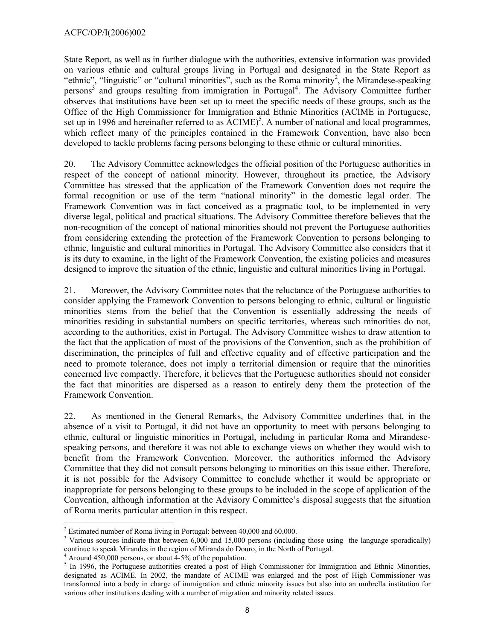State Report, as well as in further dialogue with the authorities, extensive information was provided on various ethnic and cultural groups living in Portugal and designated in the State Report as "ethnic", "linguistic" or "cultural minorities", such as the Roma minority<sup>2</sup>, the Mirandese-speaking persons<sup>3</sup> and groups resulting from immigration in Portugal<sup>4</sup>. The Advisory Committee further observes that institutions have been set up to meet the specific needs of these groups, such as the Office of the High Commissioner for Immigration and Ethnic Minorities (ACIME in Portuguese, set up in 1996 and hereinafter referred to as  $\overline{ACIME}$ <sup>5</sup>. A number of national and local programmes, which reflect many of the principles contained in the Framework Convention, have also been developed to tackle problems facing persons belonging to these ethnic or cultural minorities.

20. The Advisory Committee acknowledges the official position of the Portuguese authorities in respect of the concept of national minority. However, throughout its practice, the Advisory Committee has stressed that the application of the Framework Convention does not require the formal recognition or use of the term "national minority" in the domestic legal order. The Framework Convention was in fact conceived as a pragmatic tool, to be implemented in very diverse legal, political and practical situations. The Advisory Committee therefore believes that the non-recognition of the concept of national minorities should not prevent the Portuguese authorities from considering extending the protection of the Framework Convention to persons belonging to ethnic, linguistic and cultural minorities in Portugal. The Advisory Committee also considers that it is its duty to examine, in the light of the Framework Convention, the existing policies and measures designed to improve the situation of the ethnic, linguistic and cultural minorities living in Portugal.

21. Moreover, the Advisory Committee notes that the reluctance of the Portuguese authorities to consider applying the Framework Convention to persons belonging to ethnic, cultural or linguistic minorities stems from the belief that the Convention is essentially addressing the needs of minorities residing in substantial numbers on specific territories, whereas such minorities do not, according to the authorities, exist in Portugal. The Advisory Committee wishes to draw attention to the fact that the application of most of the provisions of the Convention, such as the prohibition of discrimination, the principles of full and effective equality and of effective participation and the need to promote tolerance, does not imply a territorial dimension or require that the minorities concerned live compactly. Therefore, it believes that the Portuguese authorities should not consider the fact that minorities are dispersed as a reason to entirely deny them the protection of the Framework Convention.

22. As mentioned in the General Remarks, the Advisory Committee underlines that, in the absence of a visit to Portugal, it did not have an opportunity to meet with persons belonging to ethnic, cultural or linguistic minorities in Portugal, including in particular Roma and Mirandesespeaking persons, and therefore it was not able to exchange views on whether they would wish to benefit from the Framework Convention. Moreover, the authorities informed the Advisory Committee that they did not consult persons belonging to minorities on this issue either. Therefore, it is not possible for the Advisory Committee to conclude whether it would be appropriate or inappropriate for persons belonging to these groups to be included in the scope of application of the Convention, although information at the Advisory Committee's disposal suggests that the situation of Roma merits particular attention in this respect.

 $\overline{a}$ <sup>2</sup> Estimated number of Roma living in Portugal: between  $40,000$  and  $60,000$ .

<sup>&</sup>lt;sup>3</sup> Various sources indicate that between 6,000 and 15,000 persons (including those using the language sporadically) continue to speak Mirandes in the region of Miranda do Douro, in the North of Portugal.

 $4$  Around 450,000 persons, or about 4-5% of the population.

<sup>&</sup>lt;sup>5</sup> In 1996, the Portuguese authorities created a post of High Commissioner for Immigration and Ethnic Minorities, designated as ACIME. In 2002, the mandate of ACIME was enlarged and the post of High Commissioner was transformed into a body in charge of immigration and ethnic minority issues but also into an umbrella institution for various other institutions dealing with a number of migration and minority related issues.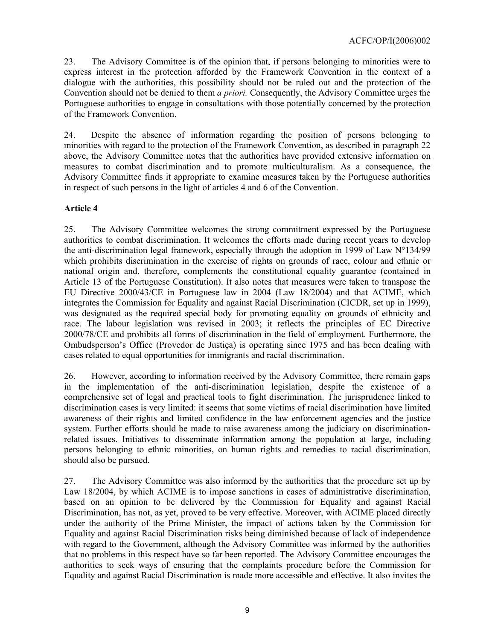23. The Advisory Committee is of the opinion that, if persons belonging to minorities were to express interest in the protection afforded by the Framework Convention in the context of a dialogue with the authorities, this possibility should not be ruled out and the protection of the Convention should not be denied to them *a priori.* Consequently, the Advisory Committee urges the Portuguese authorities to engage in consultations with those potentially concerned by the protection of the Framework Convention.

24. Despite the absence of information regarding the position of persons belonging to minorities with regard to the protection of the Framework Convention, as described in paragraph 22 above, the Advisory Committee notes that the authorities have provided extensive information on measures to combat discrimination and to promote multiculturalism. As a consequence, the Advisory Committee finds it appropriate to examine measures taken by the Portuguese authorities in respect of such persons in the light of articles 4 and 6 of the Convention.

# **Article 4**

25. The Advisory Committee welcomes the strong commitment expressed by the Portuguese authorities to combat discrimination. It welcomes the efforts made during recent years to develop the anti-discrimination legal framework, especially through the adoption in 1999 of Law N°134/99 which prohibits discrimination in the exercise of rights on grounds of race, colour and ethnic or national origin and, therefore, complements the constitutional equality guarantee (contained in Article 13 of the Portuguese Constitution). It also notes that measures were taken to transpose the EU Directive 2000/43/CE in Portuguese law in 2004 (Law 18/2004) and that ACIME, which integrates the Commission for Equality and against Racial Discrimination (CICDR, set up in 1999), was designated as the required special body for promoting equality on grounds of ethnicity and race. The labour legislation was revised in 2003; it reflects the principles of EC Directive 2000/78/CE and prohibits all forms of discrimination in the field of employment. Furthermore, the Ombudsperson's Office (Provedor de Justiça) is operating since 1975 and has been dealing with cases related to equal opportunities for immigrants and racial discrimination.

26. However, according to information received by the Advisory Committee, there remain gaps in the implementation of the anti-discrimination legislation, despite the existence of a comprehensive set of legal and practical tools to fight discrimination. The jurisprudence linked to discrimination cases is very limited: it seems that some victims of racial discrimination have limited awareness of their rights and limited confidence in the law enforcement agencies and the justice system. Further efforts should be made to raise awareness among the judiciary on discriminationrelated issues. Initiatives to disseminate information among the population at large, including persons belonging to ethnic minorities, on human rights and remedies to racial discrimination, should also be pursued.

27. The Advisory Committee was also informed by the authorities that the procedure set up by Law 18/2004, by which ACIME is to impose sanctions in cases of administrative discrimination, based on an opinion to be delivered by the Commission for Equality and against Racial Discrimination, has not, as yet, proved to be very effective. Moreover, with ACIME placed directly under the authority of the Prime Minister, the impact of actions taken by the Commission for Equality and against Racial Discrimination risks being diminished because of lack of independence with regard to the Government, although the Advisory Committee was informed by the authorities that no problems in this respect have so far been reported. The Advisory Committee encourages the authorities to seek ways of ensuring that the complaints procedure before the Commission for Equality and against Racial Discrimination is made more accessible and effective. It also invites the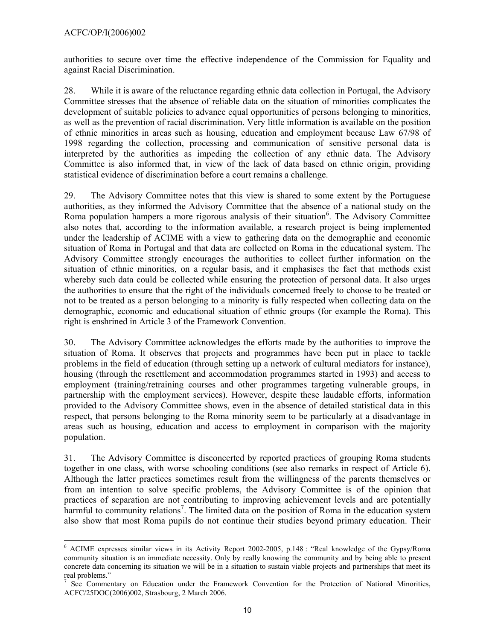authorities to secure over time the effective independence of the Commission for Equality and against Racial Discrimination.

28. While it is aware of the reluctance regarding ethnic data collection in Portugal, the Advisory Committee stresses that the absence of reliable data on the situation of minorities complicates the development of suitable policies to advance equal opportunities of persons belonging to minorities, as well as the prevention of racial discrimination. Very little information is available on the position of ethnic minorities in areas such as housing, education and employment because Law 67/98 of 1998 regarding the collection, processing and communication of sensitive personal data is interpreted by the authorities as impeding the collection of any ethnic data. The Advisory Committee is also informed that, in view of the lack of data based on ethnic origin, providing statistical evidence of discrimination before a court remains a challenge.

29. The Advisory Committee notes that this view is shared to some extent by the Portuguese authorities, as they informed the Advisory Committee that the absence of a national study on the Roma population hampers a more rigorous analysis of their situation<sup>6</sup>. The Advisory Committee also notes that, according to the information available, a research project is being implemented under the leadership of ACIME with a view to gathering data on the demographic and economic situation of Roma in Portugal and that data are collected on Roma in the educational system. The Advisory Committee strongly encourages the authorities to collect further information on the situation of ethnic minorities, on a regular basis, and it emphasises the fact that methods exist whereby such data could be collected while ensuring the protection of personal data. It also urges the authorities to ensure that the right of the individuals concerned freely to choose to be treated or not to be treated as a person belonging to a minority is fully respected when collecting data on the demographic, economic and educational situation of ethnic groups (for example the Roma). This right is enshrined in Article 3 of the Framework Convention.

30. The Advisory Committee acknowledges the efforts made by the authorities to improve the situation of Roma. It observes that projects and programmes have been put in place to tackle problems in the field of education (through setting up a network of cultural mediators for instance), housing (through the resettlement and accommodation programmes started in 1993) and access to employment (training/retraining courses and other programmes targeting vulnerable groups, in partnership with the employment services). However, despite these laudable efforts, information provided to the Advisory Committee shows, even in the absence of detailed statistical data in this respect, that persons belonging to the Roma minority seem to be particularly at a disadvantage in areas such as housing, education and access to employment in comparison with the majority population.

31. The Advisory Committee is disconcerted by reported practices of grouping Roma students together in one class, with worse schooling conditions (see also remarks in respect of Article 6). Although the latter practices sometimes result from the willingness of the parents themselves or from an intention to solve specific problems, the Advisory Committee is of the opinion that practices of separation are not contributing to improving achievement levels and are potentially harmful to community relations<sup>7</sup>. The limited data on the position of Roma in the education system also show that most Roma pupils do not continue their studies beyond primary education. Their

 $\overline{a}$ 6 ACIME expresses similar views in its Activity Report 2002-2005, p.148 : "Real knowledge of the Gypsy/Roma community situation is an immediate necessity. Only by really knowing the community and by being able to present concrete data concerning its situation we will be in a situation to sustain viable projects and partnerships that meet its real problems."

<sup>&</sup>lt;sup>7</sup> See Commentary on Education under the Framework Convention for the Protection of National Minorities, ACFC/25DOC(2006)002, Strasbourg, 2 March 2006.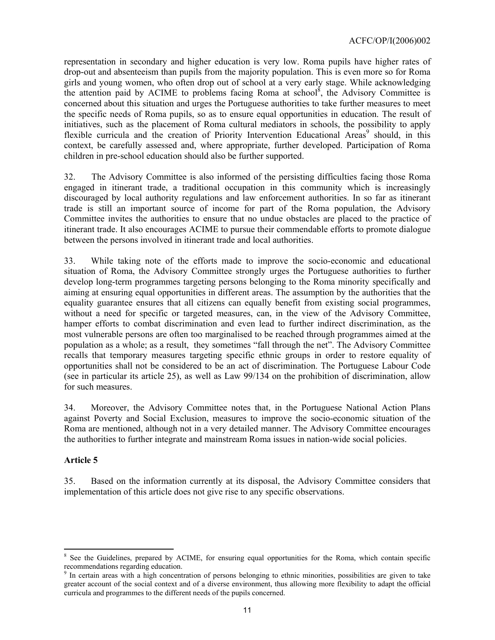representation in secondary and higher education is very low. Roma pupils have higher rates of drop-out and absenteeism than pupils from the majority population. This is even more so for Roma girls and young women, who often drop out of school at a very early stage. While acknowledging the attention paid by ACIME to problems facing Roma at school<sup>8</sup>, the Advisory Committee is concerned about this situation and urges the Portuguese authorities to take further measures to meet the specific needs of Roma pupils, so as to ensure equal opportunities in education. The result of initiatives, such as the placement of Roma cultural mediators in schools, the possibility to apply flexible curricula and the creation of Priority Intervention Educational Areas<sup>9</sup> should, in this context, be carefully assessed and, where appropriate, further developed. Participation of Roma children in pre-school education should also be further supported.

32. The Advisory Committee is also informed of the persisting difficulties facing those Roma engaged in itinerant trade, a traditional occupation in this community which is increasingly discouraged by local authority regulations and law enforcement authorities. In so far as itinerant trade is still an important source of income for part of the Roma population, the Advisory Committee invites the authorities to ensure that no undue obstacles are placed to the practice of itinerant trade. It also encourages ACIME to pursue their commendable efforts to promote dialogue between the persons involved in itinerant trade and local authorities.

33. While taking note of the efforts made to improve the socio-economic and educational situation of Roma, the Advisory Committee strongly urges the Portuguese authorities to further develop long-term programmes targeting persons belonging to the Roma minority specifically and aiming at ensuring equal opportunities in different areas. The assumption by the authorities that the equality guarantee ensures that all citizens can equally benefit from existing social programmes, without a need for specific or targeted measures, can, in the view of the Advisory Committee, hamper efforts to combat discrimination and even lead to further indirect discrimination, as the most vulnerable persons are often too marginalised to be reached through programmes aimed at the population as a whole; as a result, they sometimes "fall through the net". The Advisory Committee recalls that temporary measures targeting specific ethnic groups in order to restore equality of opportunities shall not be considered to be an act of discrimination. The Portuguese Labour Code (see in particular its article 25), as well as Law 99/134 on the prohibition of discrimination, allow for such measures.

34. Moreover, the Advisory Committee notes that, in the Portuguese National Action Plans against Poverty and Social Exclusion, measures to improve the socio-economic situation of the Roma are mentioned, although not in a very detailed manner. The Advisory Committee encourages the authorities to further integrate and mainstream Roma issues in nation-wide social policies.

#### **Article 5**

35. Based on the information currently at its disposal, the Advisory Committee considers that implementation of this article does not give rise to any specific observations.

 <sup>8</sup> See the Guidelines, prepared by ACIME, for ensuring equal opportunities for the Roma, which contain specific recommendations regarding education.

<sup>&</sup>lt;sup>9</sup> In certain areas with a high concentration of persons belonging to ethnic minorities, possibilities are given to take greater account of the social context and of a diverse environment, thus allowing more flexibility to adapt the official curricula and programmes to the different needs of the pupils concerned.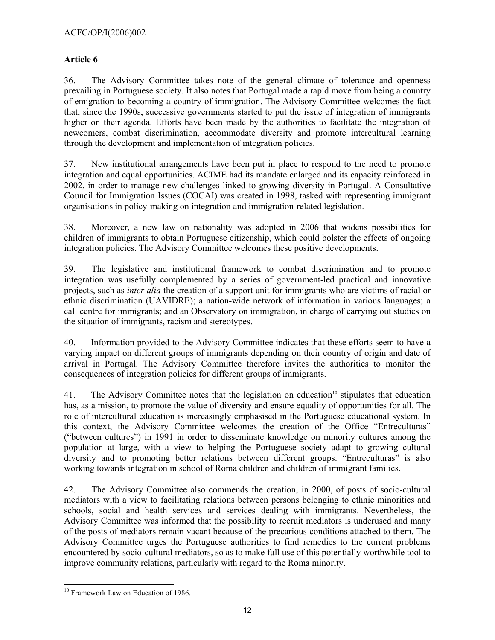# **Article 6**

36. The Advisory Committee takes note of the general climate of tolerance and openness prevailing in Portuguese society. It also notes that Portugal made a rapid move from being a country of emigration to becoming a country of immigration. The Advisory Committee welcomes the fact that, since the 1990s, successive governments started to put the issue of integration of immigrants higher on their agenda. Efforts have been made by the authorities to facilitate the integration of newcomers, combat discrimination, accommodate diversity and promote intercultural learning through the development and implementation of integration policies.

37. New institutional arrangements have been put in place to respond to the need to promote integration and equal opportunities. ACIME had its mandate enlarged and its capacity reinforced in 2002, in order to manage new challenges linked to growing diversity in Portugal. A Consultative Council for Immigration Issues (COCAI) was created in 1998, tasked with representing immigrant organisations in policy-making on integration and immigration-related legislation.

38. Moreover, a new law on nationality was adopted in 2006 that widens possibilities for children of immigrants to obtain Portuguese citizenship, which could bolster the effects of ongoing integration policies. The Advisory Committee welcomes these positive developments.

39. The legislative and institutional framework to combat discrimination and to promote integration was usefully complemented by a series of government-led practical and innovative projects, such as *inter alia* the creation of a support unit for immigrants who are victims of racial or ethnic discrimination (UAVIDRE); a nation-wide network of information in various languages; a call centre for immigrants; and an Observatory on immigration, in charge of carrying out studies on the situation of immigrants, racism and stereotypes.

40. Information provided to the Advisory Committee indicates that these efforts seem to have a varying impact on different groups of immigrants depending on their country of origin and date of arrival in Portugal. The Advisory Committee therefore invites the authorities to monitor the consequences of integration policies for different groups of immigrants.

41. The Advisory Committee notes that the legislation on education<sup>10</sup> stipulates that education has, as a mission, to promote the value of diversity and ensure equality of opportunities for all. The role of intercultural education is increasingly emphasised in the Portuguese educational system. In this context, the Advisory Committee welcomes the creation of the Office "Entreculturas" ("between cultures") in 1991 in order to disseminate knowledge on minority cultures among the population at large, with a view to helping the Portuguese society adapt to growing cultural diversity and to promoting better relations between different groups. "Entreculturas" is also working towards integration in school of Roma children and children of immigrant families.

42. The Advisory Committee also commends the creation, in 2000, of posts of socio-cultural mediators with a view to facilitating relations between persons belonging to ethnic minorities and schools, social and health services and services dealing with immigrants. Nevertheless, the Advisory Committee was informed that the possibility to recruit mediators is underused and many of the posts of mediators remain vacant because of the precarious conditions attached to them. The Advisory Committee urges the Portuguese authorities to find remedies to the current problems encountered by socio-cultural mediators, so as to make full use of this potentially worthwhile tool to improve community relations, particularly with regard to the Roma minority.

 $\overline{a}$ <sup>10</sup> Framework Law on Education of 1986.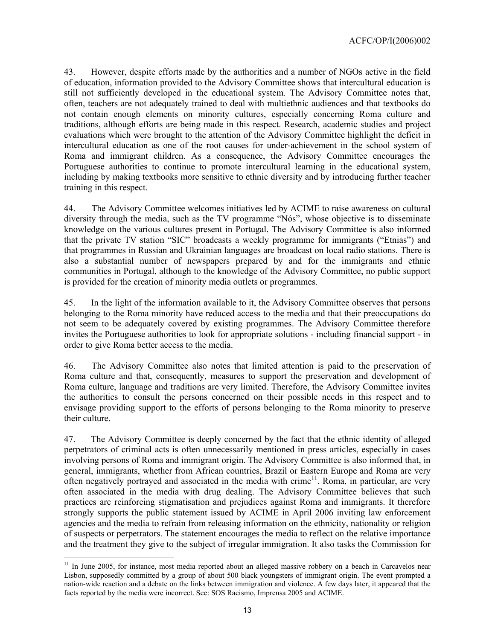43. However, despite efforts made by the authorities and a number of NGOs active in the field of education, information provided to the Advisory Committee shows that intercultural education is still not sufficiently developed in the educational system. The Advisory Committee notes that, often, teachers are not adequately trained to deal with multiethnic audiences and that textbooks do not contain enough elements on minority cultures, especially concerning Roma culture and traditions, although efforts are being made in this respect. Research, academic studies and project evaluations which were brought to the attention of the Advisory Committee highlight the deficit in intercultural education as one of the root causes for under-achievement in the school system of Roma and immigrant children. As a consequence, the Advisory Committee encourages the Portuguese authorities to continue to promote intercultural learning in the educational system, including by making textbooks more sensitive to ethnic diversity and by introducing further teacher training in this respect.

44. The Advisory Committee welcomes initiatives led by ACIME to raise awareness on cultural diversity through the media, such as the TV programme "Nós", whose objective is to disseminate knowledge on the various cultures present in Portugal. The Advisory Committee is also informed that the private TV station "SIC" broadcasts a weekly programme for immigrants ("Etnias") and that programmes in Russian and Ukrainian languages are broadcast on local radio stations. There is also a substantial number of newspapers prepared by and for the immigrants and ethnic communities in Portugal, although to the knowledge of the Advisory Committee, no public support is provided for the creation of minority media outlets or programmes.

45. In the light of the information available to it, the Advisory Committee observes that persons belonging to the Roma minority have reduced access to the media and that their preoccupations do not seem to be adequately covered by existing programmes. The Advisory Committee therefore invites the Portuguese authorities to look for appropriate solutions - including financial support - in order to give Roma better access to the media.

46. The Advisory Committee also notes that limited attention is paid to the preservation of Roma culture and that, consequently, measures to support the preservation and development of Roma culture, language and traditions are very limited. Therefore, the Advisory Committee invites the authorities to consult the persons concerned on their possible needs in this respect and to envisage providing support to the efforts of persons belonging to the Roma minority to preserve their culture.

47. The Advisory Committee is deeply concerned by the fact that the ethnic identity of alleged perpetrators of criminal acts is often unnecessarily mentioned in press articles, especially in cases involving persons of Roma and immigrant origin. The Advisory Committee is also informed that, in general, immigrants, whether from African countries, Brazil or Eastern Europe and Roma are very often negatively portrayed and associated in the media with crime<sup>11</sup>. Roma, in particular, are very often associated in the media with drug dealing. The Advisory Committee believes that such practices are reinforcing stigmatisation and prejudices against Roma and immigrants. It therefore strongly supports the public statement issued by ACIME in April 2006 inviting law enforcement agencies and the media to refrain from releasing information on the ethnicity, nationality or religion of suspects or perpetrators. The statement encourages the media to reflect on the relative importance and the treatment they give to the subject of irregular immigration. It also tasks the Commission for

<sup>&</sup>lt;sup>11</sup> In June 2005, for instance, most media reported about an alleged massive robbery on a beach in Carcavelos near Lisbon, supposedly committed by a group of about 500 black youngsters of immigrant origin. The event prompted a nation-wide reaction and a debate on the links between immigration and violence. A few days later, it appeared that the facts reported by the media were incorrect. See: SOS Racismo, Imprensa 2005 and ACIME.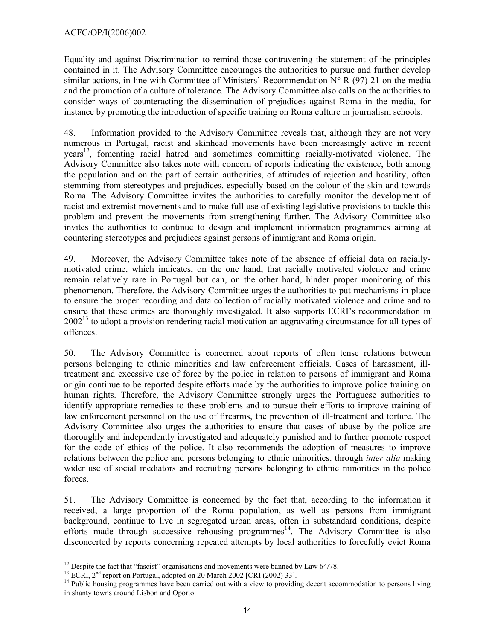Equality and against Discrimination to remind those contravening the statement of the principles contained in it. The Advisory Committee encourages the authorities to pursue and further develop similar actions, in line with Committee of Ministers' Recommendation  $N^{\circ}$  R (97) 21 on the media and the promotion of a culture of tolerance. The Advisory Committee also calls on the authorities to consider ways of counteracting the dissemination of prejudices against Roma in the media, for instance by promoting the introduction of specific training on Roma culture in journalism schools.

48. Information provided to the Advisory Committee reveals that, although they are not very numerous in Portugal, racist and skinhead movements have been increasingly active in recent years<sup>12</sup>, fomenting racial hatred and sometimes committing racially-motivated violence. The Advisory Committee also takes note with concern of reports indicating the existence, both among the population and on the part of certain authorities, of attitudes of rejection and hostility, often stemming from stereotypes and prejudices, especially based on the colour of the skin and towards Roma. The Advisory Committee invites the authorities to carefully monitor the development of racist and extremist movements and to make full use of existing legislative provisions to tackle this problem and prevent the movements from strengthening further. The Advisory Committee also invites the authorities to continue to design and implement information programmes aiming at countering stereotypes and prejudices against persons of immigrant and Roma origin.

49. Moreover, the Advisory Committee takes note of the absence of official data on raciallymotivated crime, which indicates, on the one hand, that racially motivated violence and crime remain relatively rare in Portugal but can, on the other hand, hinder proper monitoring of this phenomenon. Therefore, the Advisory Committee urges the authorities to put mechanisms in place to ensure the proper recording and data collection of racially motivated violence and crime and to ensure that these crimes are thoroughly investigated. It also supports ECRI's recommendation in  $2002<sup>13</sup>$  to adopt a provision rendering racial motivation an aggravating circumstance for all types of offences.

50. The Advisory Committee is concerned about reports of often tense relations between persons belonging to ethnic minorities and law enforcement officials. Cases of harassment, illtreatment and excessive use of force by the police in relation to persons of immigrant and Roma origin continue to be reported despite efforts made by the authorities to improve police training on human rights. Therefore, the Advisory Committee strongly urges the Portuguese authorities to identify appropriate remedies to these problems and to pursue their efforts to improve training of law enforcement personnel on the use of firearms, the prevention of ill-treatment and torture. The Advisory Committee also urges the authorities to ensure that cases of abuse by the police are thoroughly and independently investigated and adequately punished and to further promote respect for the code of ethics of the police. It also recommends the adoption of measures to improve relations between the police and persons belonging to ethnic minorities, through *inter alia* making wider use of social mediators and recruiting persons belonging to ethnic minorities in the police forces.

51. The Advisory Committee is concerned by the fact that, according to the information it received, a large proportion of the Roma population, as well as persons from immigrant background, continue to live in segregated urban areas, often in substandard conditions, despite efforts made through successive rehousing programmes $14$ . The Advisory Committee is also disconcerted by reports concerning repeated attempts by local authorities to forcefully evict Roma

  $12$  Despite the fact that "fascist" organisations and movements were banned by Law 64/78.

<sup>&</sup>lt;sup>13</sup> ECRI,  $2^{nd}$  report on Portugal, adopted on 20 March 2002 [CRI (2002) 33].<br><sup>14</sup> Public housing programmes have been carried out with a view to providing decent accommodation to persons living in shanty towns around Lisbon and Oporto.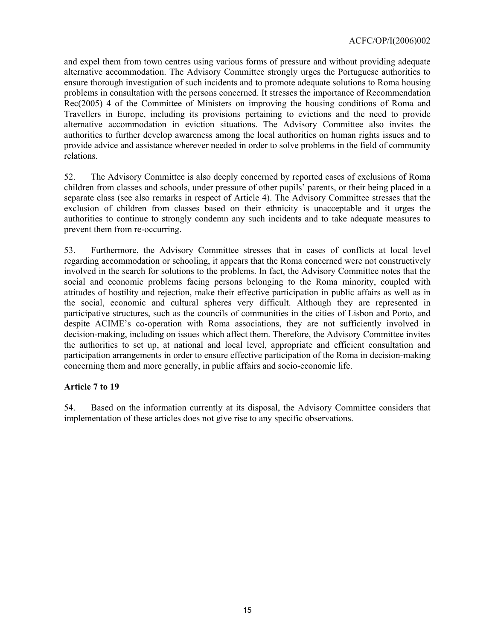and expel them from town centres using various forms of pressure and without providing adequate alternative accommodation. The Advisory Committee strongly urges the Portuguese authorities to ensure thorough investigation of such incidents and to promote adequate solutions to Roma housing problems in consultation with the persons concerned. It stresses the importance of Recommendation Rec(2005) 4 of the Committee of Ministers on improving the housing conditions of Roma and Travellers in Europe, including its provisions pertaining to evictions and the need to provide alternative accommodation in eviction situations. The Advisory Committee also invites the authorities to further develop awareness among the local authorities on human rights issues and to provide advice and assistance wherever needed in order to solve problems in the field of community relations.

52. The Advisory Committee is also deeply concerned by reported cases of exclusions of Roma children from classes and schools, under pressure of other pupils' parents, or their being placed in a separate class (see also remarks in respect of Article 4). The Advisory Committee stresses that the exclusion of children from classes based on their ethnicity is unacceptable and it urges the authorities to continue to strongly condemn any such incidents and to take adequate measures to prevent them from re-occurring.

53. Furthermore, the Advisory Committee stresses that in cases of conflicts at local level regarding accommodation or schooling, it appears that the Roma concerned were not constructively involved in the search for solutions to the problems. In fact, the Advisory Committee notes that the social and economic problems facing persons belonging to the Roma minority, coupled with attitudes of hostility and rejection, make their effective participation in public affairs as well as in the social, economic and cultural spheres very difficult. Although they are represented in participative structures, such as the councils of communities in the cities of Lisbon and Porto, and despite ACIME's co-operation with Roma associations, they are not sufficiently involved in decision-making, including on issues which affect them. Therefore, the Advisory Committee invites the authorities to set up, at national and local level, appropriate and efficient consultation and participation arrangements in order to ensure effective participation of the Roma in decision-making concerning them and more generally, in public affairs and socio-economic life.

#### **Article 7 to 19**

54. Based on the information currently at its disposal, the Advisory Committee considers that implementation of these articles does not give rise to any specific observations.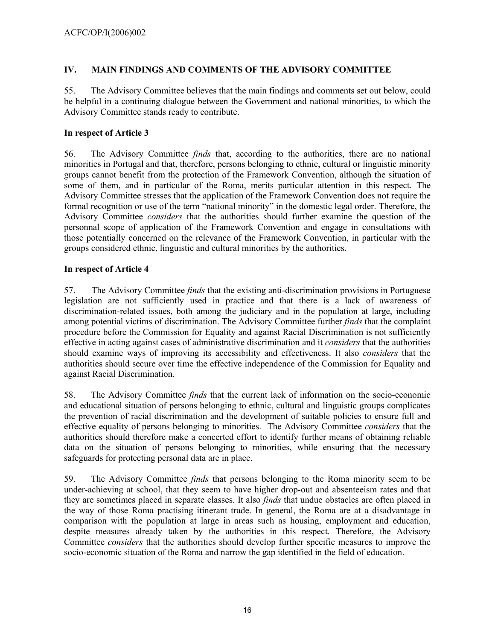# **IV. MAIN FINDINGS AND COMMENTS OF THE ADVISORY COMMITTEE**

55. The Advisory Committee believes that the main findings and comments set out below, could be helpful in a continuing dialogue between the Government and national minorities, to which the Advisory Committee stands ready to contribute.

## **In respect of Article 3**

56. The Advisory Committee *finds* that, according to the authorities, there are no national minorities in Portugal and that, therefore, persons belonging to ethnic, cultural or linguistic minority groups cannot benefit from the protection of the Framework Convention, although the situation of some of them, and in particular of the Roma, merits particular attention in this respect. The Advisory Committee stresses that the application of the Framework Convention does not require the formal recognition or use of the term "national minority" in the domestic legal order. Therefore, the Advisory Committee *considers* that the authorities should further examine the question of the personnal scope of application of the Framework Convention and engage in consultations with those potentially concerned on the relevance of the Framework Convention, in particular with the groups considered ethnic, linguistic and cultural minorities by the authorities.

### **In respect of Article 4**

57. The Advisory Committee *finds* that the existing anti-discrimination provisions in Portuguese legislation are not sufficiently used in practice and that there is a lack of awareness of discrimination-related issues, both among the judiciary and in the population at large, including among potential victims of discrimination. The Advisory Committee further *finds* that the complaint procedure before the Commission for Equality and against Racial Discrimination is not sufficiently effective in acting against cases of administrative discrimination and it *considers* that the authorities should examine ways of improving its accessibility and effectiveness. It also *considers* that the authorities should secure over time the effective independence of the Commission for Equality and against Racial Discrimination.

58. The Advisory Committee *finds* that the current lack of information on the socio-economic and educational situation of persons belonging to ethnic, cultural and linguistic groups complicates the prevention of racial discrimination and the development of suitable policies to ensure full and effective equality of persons belonging to minorities. The Advisory Committee *considers* that the authorities should therefore make a concerted effort to identify further means of obtaining reliable data on the situation of persons belonging to minorities, while ensuring that the necessary safeguards for protecting personal data are in place.

59. The Advisory Committee *finds* that persons belonging to the Roma minority seem to be under-achieving at school, that they seem to have higher drop-out and absenteeism rates and that they are sometimes placed in separate classes. It also *finds* that undue obstacles are often placed in the way of those Roma practising itinerant trade. In general, the Roma are at a disadvantage in comparison with the population at large in areas such as housing, employment and education, despite measures already taken by the authorities in this respect. Therefore, the Advisory Committee *considers* that the authorities should develop further specific measures to improve the socio-economic situation of the Roma and narrow the gap identified in the field of education.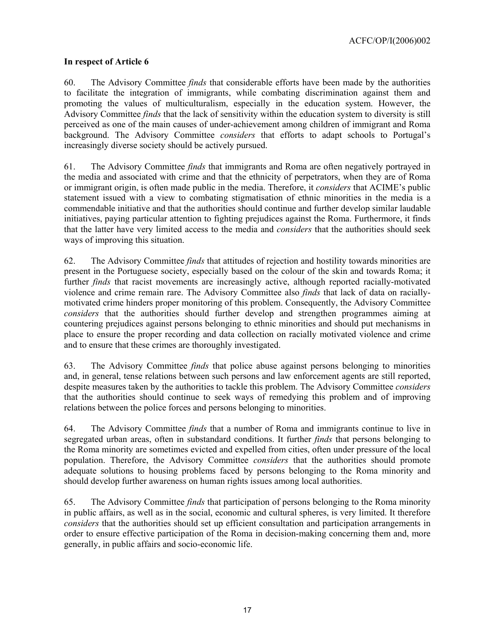### **In respect of Article 6**

60. The Advisory Committee *finds* that considerable efforts have been made by the authorities to facilitate the integration of immigrants, while combating discrimination against them and promoting the values of multiculturalism, especially in the education system. However, the Advisory Committee *finds* that the lack of sensitivity within the education system to diversity is still perceived as one of the main causes of under-achievement among children of immigrant and Roma background. The Advisory Committee *considers* that efforts to adapt schools to Portugal's increasingly diverse society should be actively pursued.

61. The Advisory Committee *finds* that immigrants and Roma are often negatively portrayed in the media and associated with crime and that the ethnicity of perpetrators, when they are of Roma or immigrant origin, is often made public in the media. Therefore, it *considers* that ACIME's public statement issued with a view to combating stigmatisation of ethnic minorities in the media is a commendable initiative and that the authorities should continue and further develop similar laudable initiatives, paying particular attention to fighting prejudices against the Roma. Furthermore, it finds that the latter have very limited access to the media and *considers* that the authorities should seek ways of improving this situation.

62. The Advisory Committee *finds* that attitudes of rejection and hostility towards minorities are present in the Portuguese society, especially based on the colour of the skin and towards Roma; it further *finds* that racist movements are increasingly active, although reported racially-motivated violence and crime remain rare. The Advisory Committee also *finds* that lack of data on raciallymotivated crime hinders proper monitoring of this problem. Consequently, the Advisory Committee *considers* that the authorities should further develop and strengthen programmes aiming at countering prejudices against persons belonging to ethnic minorities and should put mechanisms in place to ensure the proper recording and data collection on racially motivated violence and crime and to ensure that these crimes are thoroughly investigated.

63. The Advisory Committee *finds* that police abuse against persons belonging to minorities and, in general, tense relations between such persons and law enforcement agents are still reported, despite measures taken by the authorities to tackle this problem. The Advisory Committee *considers* that the authorities should continue to seek ways of remedying this problem and of improving relations between the police forces and persons belonging to minorities.

64. The Advisory Committee *finds* that a number of Roma and immigrants continue to live in segregated urban areas, often in substandard conditions. It further *finds* that persons belonging to the Roma minority are sometimes evicted and expelled from cities, often under pressure of the local population. Therefore, the Advisory Committee *considers* that the authorities should promote adequate solutions to housing problems faced by persons belonging to the Roma minority and should develop further awareness on human rights issues among local authorities.

65. The Advisory Committee *finds* that participation of persons belonging to the Roma minority in public affairs, as well as in the social, economic and cultural spheres, is very limited. It therefore *considers* that the authorities should set up efficient consultation and participation arrangements in order to ensure effective participation of the Roma in decision-making concerning them and, more generally, in public affairs and socio-economic life.